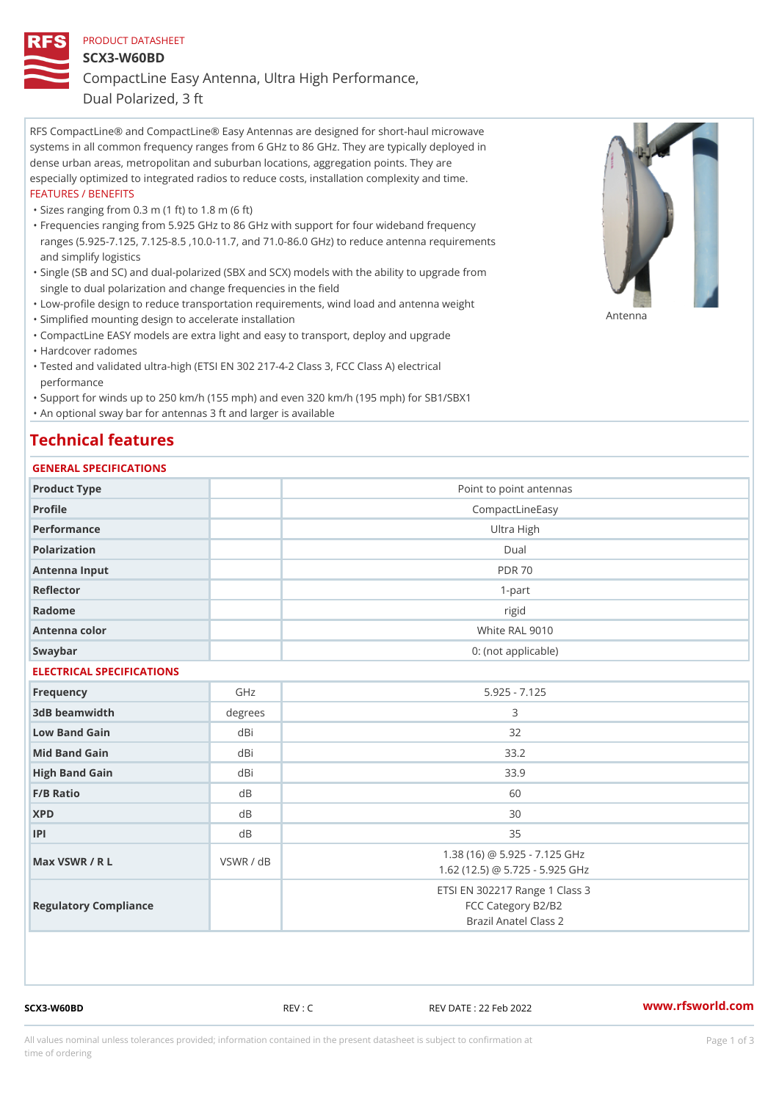#### PRODUCT DATASHEET

SCX3-W60BD

CompactLine Easy Antenna, Ultra High Performance,

Dual Polarized, 3 ft

RFS CompactLine® and CompactLine® Easy Antennas are designed for short-haul microwave systems in all common frequency ranges from 6 GHz to 86 GHz. They are typically deployed in dense urban areas, metropolitan and suburban locations, aggregation points. They are especially optimized to integrated radios to reduce costs, installation complexity and time. FEATURES / BENEFITS

"Sizes ranging from 0.3 m (1 ft) to 1.8 m (6 ft)

- Frequencies ranging from 5.925 GHz to 86 GHz with support for four wideband frequency " ranges (5.925-7.125, 7.125-8.5 ,10.0-11.7, and 71.0-86.0 GHz) to reduce antenna requirements and simplify logistics
- Single (SB and SC) and dual-polarized (SBX and SCX) models with the ability to upgrade from " single to dual polarization and change frequencies in the field
- "Low-profile design to reduce transportation requirements, wind load and antenna weight
- "Simplified mounting design to accelerate installation

 "CompactLine EASY models are extra light and easy to transport, deploy and upgrade "Hardcover radomes

Tested and validated ultra-high (ETSI EN 302 217-4-2 Class 3, FCC Class A) electrical " performance

 "Support for winds up to 250 km/h (155 mph) and even 320 km/h (195 mph) for SB1/SBX1 "An optional sway bar for antennas 3 ft and larger is available

## Technical features

### GENERAL SPECIFICATIONS

| GENERAL SELGIFICATIONS    |           |                                                                               |  |  |
|---------------------------|-----------|-------------------------------------------------------------------------------|--|--|
| Product Type              |           | Point to point antennas                                                       |  |  |
| Profile                   |           | CompactLineEasy                                                               |  |  |
| Performance               |           | Ultra High                                                                    |  |  |
| Polarization              |           | $D$ ual                                                                       |  |  |
| Antenna Input             |           | <b>PDR 70</b>                                                                 |  |  |
| Reflector                 |           | $1 - p$ art                                                                   |  |  |
| Radome                    |           | rigid                                                                         |  |  |
| Antenna color             |           | White RAL 9010                                                                |  |  |
| Swaybar                   |           | 0: (not applicable)                                                           |  |  |
| ELECTRICAL SPECIFICATIONS |           |                                                                               |  |  |
| Frequency                 | GHz       | $5.925 - 7.125$                                                               |  |  |
| 3dB beamwidth             | degrees   | 3                                                                             |  |  |
| Low Band Gain             | dBi       | 32                                                                            |  |  |
| Mid Band Gain             | dBi       | 33.2                                                                          |  |  |
| High Band Gain            | dBi       | 33.9                                                                          |  |  |
| F/B Ratio                 | $d$ B     | 60                                                                            |  |  |
| <b>XPD</b>                | d B       | 30                                                                            |  |  |
| P                         | $d$ B     | 35                                                                            |  |  |
| Max VSWR / R L            | VSWR / dB | 1.38 (16) @ 5.925 - 7.125 GHz<br>1.62 (12.5) @ 5.725 - 5.925 GHz              |  |  |
| Regulatory Compliance     |           | ETSI EN 302217 Range 1 Class 3<br>FCC Category B2/B2<br>Brazil Anatel Class 2 |  |  |

SCX3-W60BD REV : C REV DATE : 22 Feb 2022 [www.](https://www.rfsworld.com)rfsworld.com

Antenna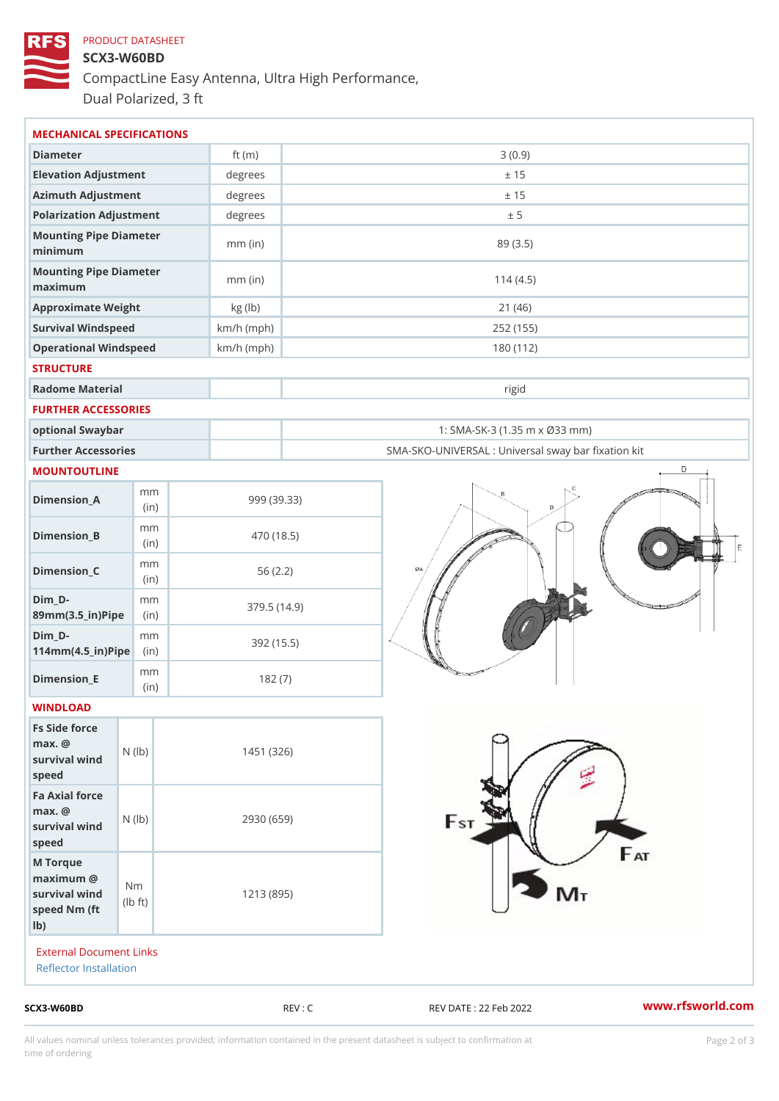# PRODUCT DATASHEET SCX3-W60BD CompactLine Easy Antenna, Ultra High Performance, Dual Polarized, 3 ft

| MECHANICAL SPECIFICATIONS                                                                                    |              |                                                      |
|--------------------------------------------------------------------------------------------------------------|--------------|------------------------------------------------------|
| Diameter                                                                                                     | ft $(m)$     | 3(0.9)                                               |
| Elevation Adjustment                                                                                         | degrees      | ± 15                                                 |
| Azimuth Adjustment                                                                                           | degrees      | ± 15                                                 |
| Polarization Adjustment                                                                                      | degrees      | ± 5                                                  |
| Mounting Pipe Diameter<br>minimum                                                                            | $mm$ (in)    | 89 (3.5)                                             |
| Mounting Pipe Diameter<br>maximum                                                                            | $mm$ (in)    | 114(4.5)                                             |
| Approximate Weight                                                                                           | kg (lb)      | 21(46)                                               |
| Survival Windspeed                                                                                           | $km/h$ (mph) | 252 (155)                                            |
| Operational Windspeed                                                                                        | $km/h$ (mph) | 180 (112)                                            |
| <b>STRUCTURE</b>                                                                                             |              |                                                      |
| Radome Material                                                                                              |              | rigid                                                |
| FURTHER ACCESSORIES                                                                                          |              |                                                      |
| optional Swaybar                                                                                             |              | 1: SMA-SK-3 (1.35 m x Ø33 mm)                        |
| Further Accessories                                                                                          |              | SMA-SKO-UNIVERSAL : Universal sway bar fixation l    |
| MOUNTOUTLINE                                                                                                 |              |                                                      |
| m m<br>$Dimension_A$<br>(in)                                                                                 |              | 999 (39.33)                                          |
| m m<br>$Dimension_B$<br>(in)                                                                                 |              | 470 (18.5)                                           |
| m m<br>$Dimen sion_C$<br>(in)                                                                                |              | 56(2.2)                                              |
| $Dim_D -$<br>m m<br>89mm (3.5_in) Pi(pine                                                                    |              | 379.5(14.9)                                          |
| $Dim_D - D -$<br>m m<br>$114$ m m $(4.5$ ir $)$ $\sqrt{$ ii $\sqrt{p}}$ $\ge$                                |              | 392 (15.5)                                           |
| m m<br>Dimension_E<br>(in)                                                                                   |              | 182(7)                                               |
| WINDLOAD                                                                                                     |              |                                                      |
| Fs Side force<br>$max.$ @<br>survival wind $\begin{pmatrix} N & (I b) \\ P & Q & Q \end{pmatrix}$<br>speed   |              | 1451 (326)                                           |
| Fa Axial force<br>$max.$ @<br>survival wind (1b)<br>speed                                                    |              | 2930 (659)                                           |
| M Torque<br>$maximum$ @<br>N <sub>m</sub><br>survival wind<br>$\dagger$ t)<br>l b<br>speed Nm (ft)<br>$1b$ ) |              | 1213 (895)                                           |
| <b>External Document Links</b><br>Reflector Installation                                                     |              |                                                      |
| $SCX3-W60BD$                                                                                                 |              | www.rfsworld.co<br>REV : C<br>REV DATE : 22 Feb 2022 |

All values nominal unless tolerances provided; information contained in the present datasheet is subject to Pcapgelio an atio time of ordering